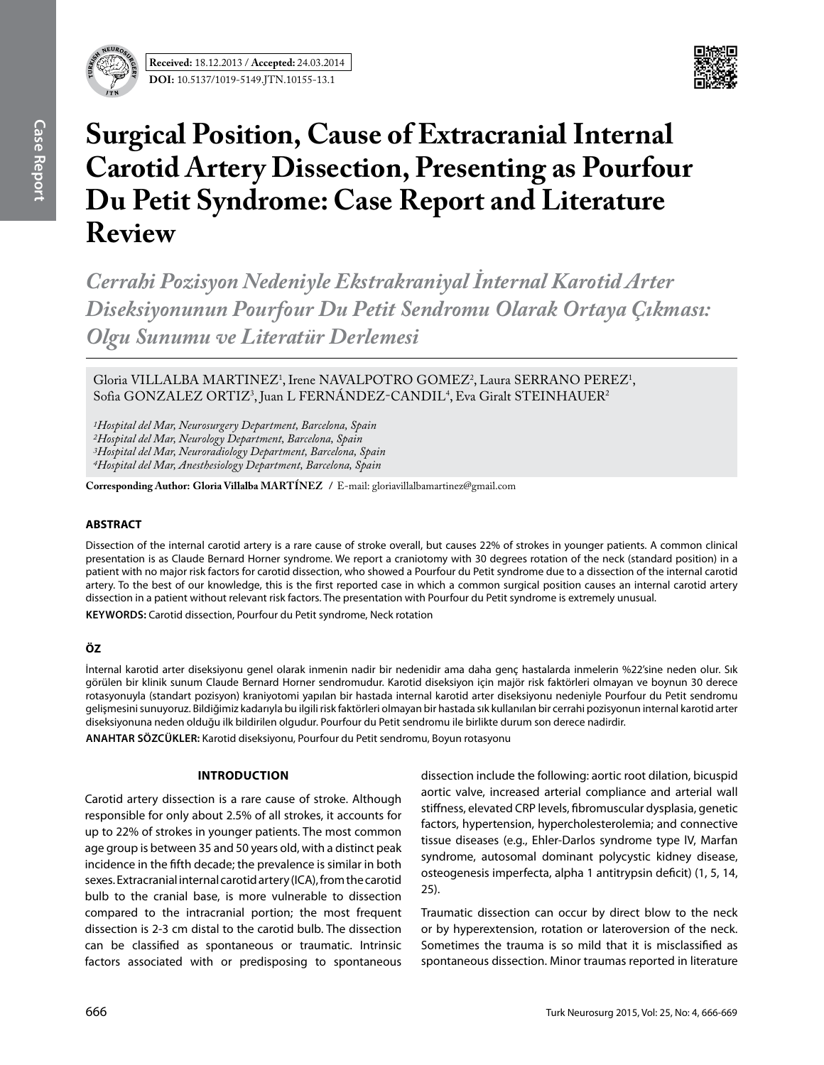



# **Surgical Position, Cause of Extracranial Internal Carotid Artery Dissection, Presenting as Pourfour Du Petit Syndrome: Case Report and Literature Review**

*Cerrahi Pozisyon Nedeniyle Ekstrakraniyal İnternal Karotid Arter Diseksiyonunun Pourfour Du Petit Sendromu Olarak Ortaya Çıkması: Olgu Sunumu ve Literatür Derlemesi* 

Gloria VILLALBA MARTINEZ<sup>1</sup>, Irene NAVALPOTRO GOMEZ<sup>2</sup>, Laura SERRANO PEREZ<sup>1</sup>, Sofia GONZALEZ ORTIZ<sup>3</sup>, Juan L FERNANDEZ-CANDIL<sup>4</sup>, Eva Giralt STEINHAUER<sup>2</sup>

*1Hospital del Mar, Neurosurgery Department, Barcelona, Spain 2Hospital del Mar, Neurology Department, Barcelona, Spain 3Hospital del Mar, Neuroradiology Department, Barcelona, Spain 4Hospital del Mar, Anesthesiology Department, Barcelona, Spain*

**Corresponding Author: Gloria Villalba Martínez /** E-mail: gloriavillalbamartinez@gmail.com

## **ABSTRACT**

Dissection of the internal carotid artery is a rare cause of stroke overall, but causes 22% of strokes in younger patients. A common clinical presentation is as Claude Bernard Horner syndrome. We report a craniotomy with 30 degrees rotation of the neck (standard position) in a patient with no major risk factors for carotid dissection, who showed a Pourfour du Petit syndrome due to a dissection of the internal carotid artery. To the best of our knowledge, this is the first reported case in which a common surgical position causes an internal carotid artery dissection in a patient without relevant risk factors. The presentation with Pourfour du Petit syndrome is extremely unusual.

**KEYWORDS:** Carotid dissection, Pourfour du Petit syndrome, Neck rotation

## **ÖZ**

İnternal karotid arter diseksiyonu genel olarak inmenin nadir bir nedenidir ama daha genç hastalarda inmelerin %22'sine neden olur. Sık görülen bir klinik sunum Claude Bernard Horner sendromudur. Karotid diseksiyon için majör risk faktörleri olmayan ve boynun 30 derece rotasyonuyla (standart pozisyon) kraniyotomi yapılan bir hastada internal karotid arter diseksiyonu nedeniyle Pourfour du Petit sendromu gelişmesini sunuyoruz. Bildiğimiz kadarıyla bu ilgili risk faktörleri olmayan bir hastada sık kullanılan bir cerrahi pozisyonun internal karotid arter diseksiyonuna neden olduğu ilk bildirilen olgudur. Pourfour du Petit sendromu ile birlikte durum son derece nadirdir.

**ANAHTAR SÖZCÜKLER:** Karotid diseksiyonu, Pourfour du Petit sendromu, Boyun rotasyonu

### **Introduction**

Carotid artery dissection is a rare cause of stroke. Although responsible for only about 2.5% of all strokes, it accounts for up to 22% of strokes in younger patients. The most common age group is between 35 and 50 years old, with a distinct peak incidence in the fifth decade; the prevalence is similar in both sexes. Extracranial internal carotid artery (ICA), from the carotid bulb to the cranial base, is more vulnerable to dissection compared to the intracranial portion; the most frequent dissection is 2-3 cm distal to the carotid bulb. The dissection can be classified as spontaneous or traumatic. Intrinsic factors associated with or predisposing to spontaneous dissection include the following: aortic root dilation, bicuspid aortic valve, increased arterial compliance and arterial wall stiffness, elevated CRP levels, fibromuscular dysplasia, genetic factors, hypertension, hypercholesterolemia; and connective tissue diseases (e.g., Ehler-Darlos syndrome type lV, Marfan syndrome, autosomal dominant polycystic kidney disease, osteogenesis imperfecta, alpha 1 antitrypsin deficit) (1, 5, 14, 25).

Traumatic dissection can occur by direct blow to the neck or by hyperextension, rotation or lateroversion of the neck. Sometimes the trauma is so mild that it is misclassified as spontaneous dissection. Minor traumas reported in literature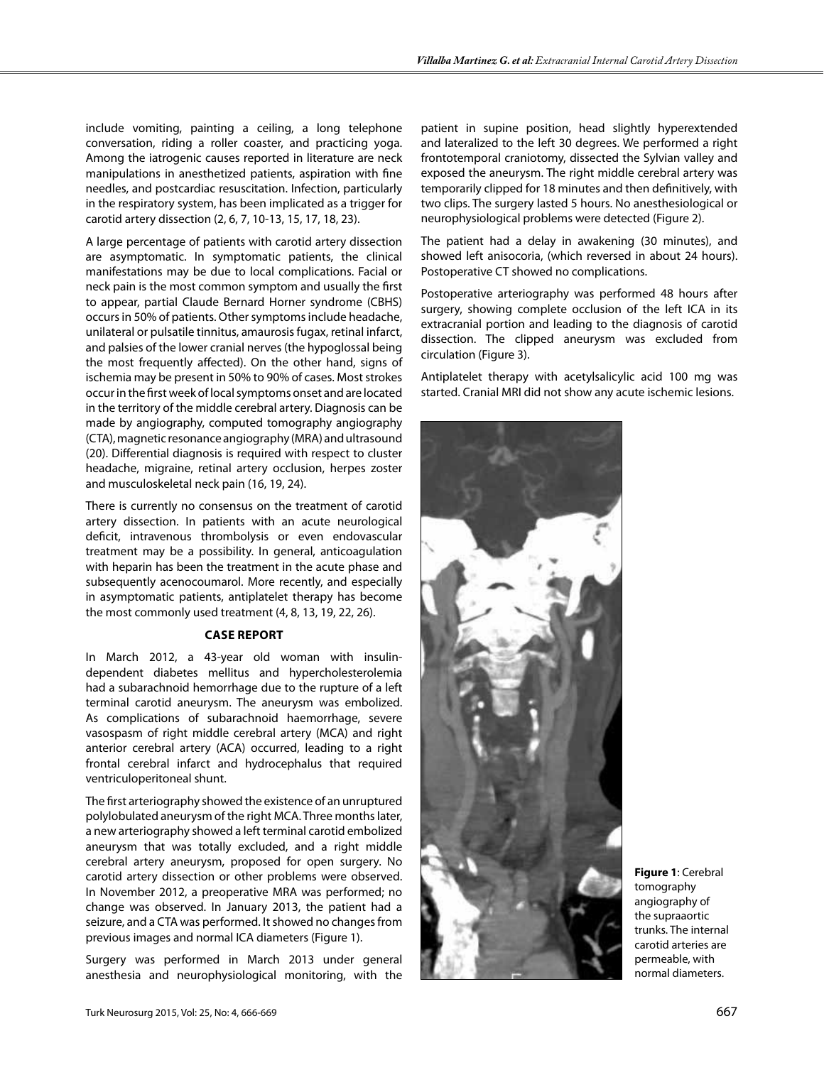include vomiting, painting a ceiling, a long telephone conversation, riding a roller coaster, and practicing yoga. Among the iatrogenic causes reported in literature are neck manipulations in anesthetized patients, aspiration with fine needles, and postcardiac resuscitation. Infection, particularly in the respiratory system, has been implicated as a trigger for carotid artery dissection (2, 6, 7, 10-13, 15, 17, 18, 23).

A large percentage of patients with carotid artery dissection are asymptomatic. In symptomatic patients, the clinical manifestations may be due to local complications. Facial or neck pain is the most common symptom and usually the first to appear, partial Claude Bernard Horner syndrome (CBHS) occurs in 50% of patients. Other symptoms include headache, unilateral or pulsatile tinnitus, amaurosis fugax, retinal infarct, and palsies of the lower cranial nerves (the hypoglossal being the most frequently affected). On the other hand, signs of ischemia may be present in 50% to 90% of cases. Most strokes occur in the first week of local symptoms onset and are located in the territory of the middle cerebral artery. Diagnosis can be made by angiography, computed tomography angiography (CTA), magnetic resonance angiography (MRA) and ultrasound (20). Differential diagnosis is required with respect to cluster headache, migraine, retinal artery occlusion, herpes zoster and musculoskeletal neck pain (16, 19, 24).

There is currently no consensus on the treatment of carotid artery dissection. In patients with an acute neurological deficit, intravenous thrombolysis or even endovascular treatment may be a possibility. In general, anticoagulation with heparin has been the treatment in the acute phase and subsequently acenocoumarol. More recently, and especially in asymptomatic patients, antiplatelet therapy has become the most commonly used treatment (4, 8, 13, 19, 22, 26).

### **Case Report**

In March 2012, a 43-year old woman with insulindependent diabetes mellitus and hypercholesterolemia had a subarachnoid hemorrhage due to the rupture of a left terminal carotid aneurysm. The aneurysm was embolized. As complications of subarachnoid haemorrhage, severe vasospasm of right middle cerebral artery (MCA) and right anterior cerebral artery (ACA) occurred, leading to a right frontal cerebral infarct and hydrocephalus that required ventriculoperitoneal shunt.

The first arteriography showed the existence of an unruptured polylobulated aneurysm of the right MCA. Three months later, a new arteriography showed a left terminal carotid embolized aneurysm that was totally excluded, and a right middle cerebral artery aneurysm, proposed for open surgery. No carotid artery dissection or other problems were observed. In November 2012, a preoperative MRA was performed; no change was observed. In January 2013, the patient had a seizure, and a CTA was performed. It showed no changes from previous images and normal ICA diameters (Figure 1).

Surgery was performed in March 2013 under general anesthesia and neurophysiological monitoring, with the

patient in supine position, head slightly hyperextended and lateralized to the left 30 degrees. We performed a right frontotemporal craniotomy, dissected the Sylvian valley and exposed the aneurysm. The right middle cerebral artery was temporarily clipped for 18 minutes and then definitively, with two clips. The surgery lasted 5 hours. No anesthesiological or neurophysiological problems were detected (Figure 2).

The patient had a delay in awakening (30 minutes), and showed left anisocoria, (which reversed in about 24 hours). Postoperative CT showed no complications.

Postoperative arteriography was performed 48 hours after surgery, showing complete occlusion of the left ICA in its extracranial portion and leading to the diagnosis of carotid dissection. The clipped aneurysm was excluded from circulation (Figure 3).

Antiplatelet therapy with acetylsalicylic acid 100 mg was started. Cranial MRI did not show any acute ischemic lesions.



**Figure 1**: Cerebral tomography angiography of the supraaortic trunks. The internal carotid arteries are permeable, with normal diameters.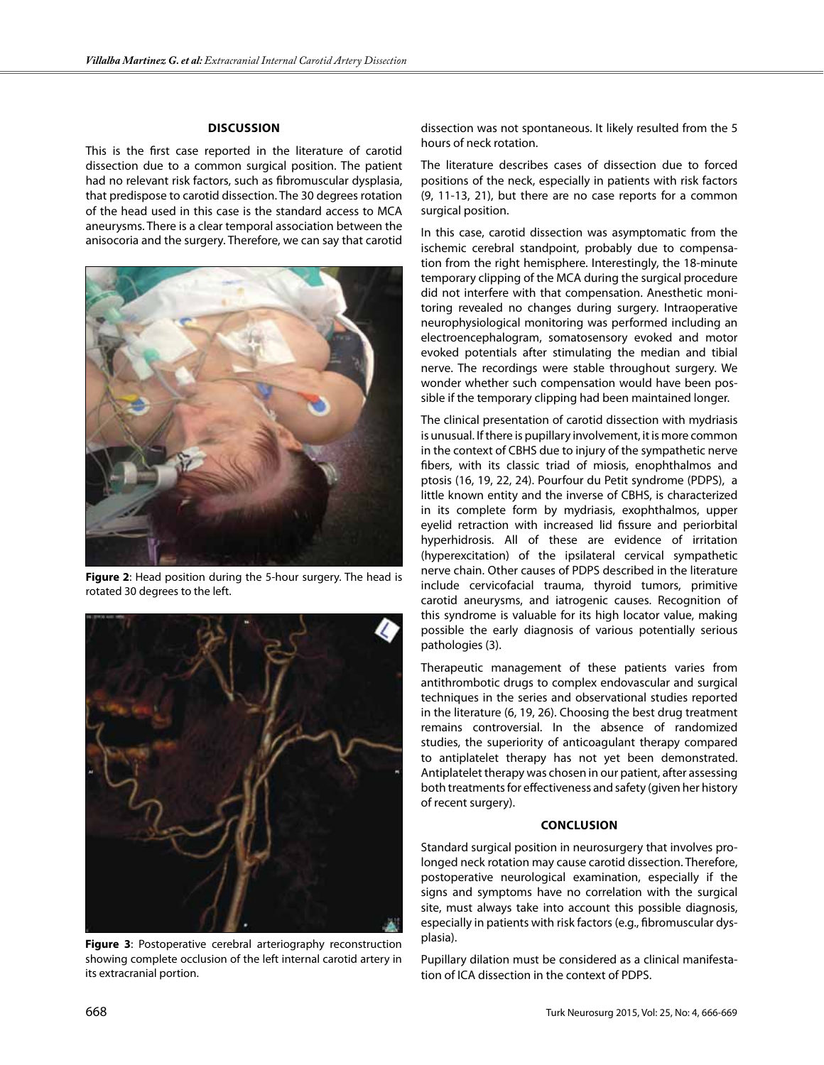### **Discussion**

This is the first case reported in the literature of carotid dissection due to a common surgical position. The patient had no relevant risk factors, such as fibromuscular dysplasia, that predispose to carotid dissection. The 30 degrees rotation of the head used in this case is the standard access to MCA aneurysms. There is a clear temporal association between the anisocoria and the surgery. Therefore, we can say that carotid



**Figure 2**: Head position during the 5-hour surgery. The head is rotated 30 degrees to the left.



**Figure 3**: Postoperative cerebral arteriography reconstruction showing complete occlusion of the left internal carotid artery in its extracranial portion.

dissection was not spontaneous. It likely resulted from the 5 hours of neck rotation.

The literature describes cases of dissection due to forced positions of the neck, especially in patients with risk factors (9, 11-13, 21), but there are no case reports for a common surgical position.

In this case, carotid dissection was asymptomatic from the ischemic cerebral standpoint, probably due to compensation from the right hemisphere. Interestingly, the 18-minute temporary clipping of the MCA during the surgical procedure did not interfere with that compensation. Anesthetic monitoring revealed no changes during surgery. Intraoperative neurophysiological monitoring was performed including an electroencephalogram, somatosensory evoked and motor evoked potentials after stimulating the median and tibial nerve. The recordings were stable throughout surgery. We wonder whether such compensation would have been possible if the temporary clipping had been maintained longer.

The clinical presentation of carotid dissection with mydriasis is unusual. If there is pupillary involvement, it is more common in the context of CBHS due to injury of the sympathetic nerve fibers, with its classic triad of miosis, enophthalmos and ptosis (16, 19, 22, 24). Pourfour du Petit syndrome (PDPS), a little known entity and the inverse of CBHS, is characterized in its complete form by mydriasis, exophthalmos, upper eyelid retraction with increased lid fissure and periorbital hyperhidrosis. All of these are evidence of irritation (hyperexcitation) of the ipsilateral cervical sympathetic nerve chain. Other causes of PDPS described in the literature include cervicofacial trauma, thyroid tumors, primitive carotid aneurysms, and iatrogenic causes. Recognition of this syndrome is valuable for its high locator value, making possible the early diagnosis of various potentially serious pathologies (3).

Therapeutic management of these patients varies from antithrombotic drugs to complex endovascular and surgical techniques in the series and observational studies reported in the literature (6, 19, 26). Choosing the best drug treatment remains controversial. In the absence of randomized studies, the superiority of anticoagulant therapy compared to antiplatelet therapy has not yet been demonstrated. Antiplatelet therapy was chosen in our patient, after assessing both treatments for effectiveness and safety (given her history of recent surgery).

### **Conclusion**

Standard surgical position in neurosurgery that involves prolonged neck rotation may cause carotid dissection. Therefore, postoperative neurological examination, especially if the signs and symptoms have no correlation with the surgical site, must always take into account this possible diagnosis, especially in patients with risk factors (e.g., fibromuscular dysplasia).

Pupillary dilation must be considered as a clinical manifestation of ICA dissection in the context of PDPS.